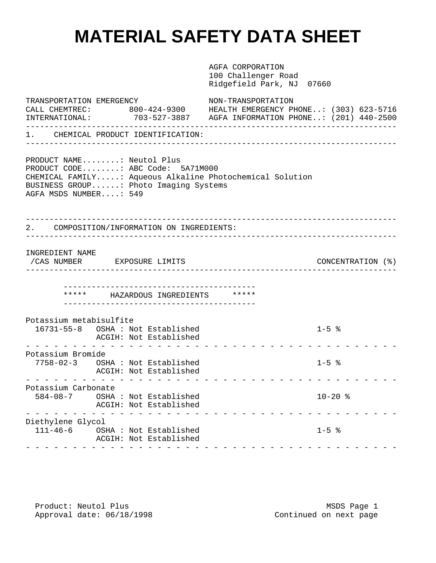## **MATERIAL SAFETY DATA SHEET**

AGFA CORPORATION 100 Challenger Road Ridgefield Park, NJ 07660 TRANSPORTATION EMERGENCY NON-TRANSPORTATION CALL CHEMTREC: 800-424-9300 HEALTH EMERGENCY PHONE..: (303) 623-5716 INTERNATIONAL: 703-527-3887 AGFA INFORMATION PHONE..: (201) 440-2500 ------------------------------------------------------------------------------- 1. CHEMICAL PRODUCT IDENTIFICATION: ------------------------------------------------------------------------------- PRODUCT NAME........: Neutol Plus PRODUCT CODE........: ABC Code: 5A71M000 CHEMICAL FAMILY.....: Aqueous Alkaline Photochemical Solution BUSINESS GROUP......: Photo Imaging Systems AGFA MSDS NUMBER....: 549 ------------------------------------------------------------------------------- 2. COMPOSITION/INFORMATION ON INGREDIENTS: ------------------------------------------------------------------------------- INGREDIENT NAME /CAS NUMBER EXPOSURE LIMITS CONCENTRATION (%) ------------------------------------------------------------------------------- ----------------------------------------- \*\*\*\*\* HAZARDOUS INGREDIENTS \*\*\*\*\* ----------------------------------------- Potassium metabisulfite 16731-55-8 OSHA : Not Established 1-5 % ACGIH: Not Established ---------------------------------------- Potassium Bromide 7758-02-3 OSHA : Not Established 1-5 % ACGIH: Not Established ---------------------------------------- Potassium Carbonate 584-08-7 OSHA : Not Established 10-20 % ACGIH: Not Established ---------------------------------------- Diethylene Glycol 111-46-6 OSHA : Not Established 1-5 % ACGIH: Not Established ----------------------------------------

Product: Neutol Plus and the matrix of the MSDS Page 1 Approval date:  $06/18/1998$  Continued on next page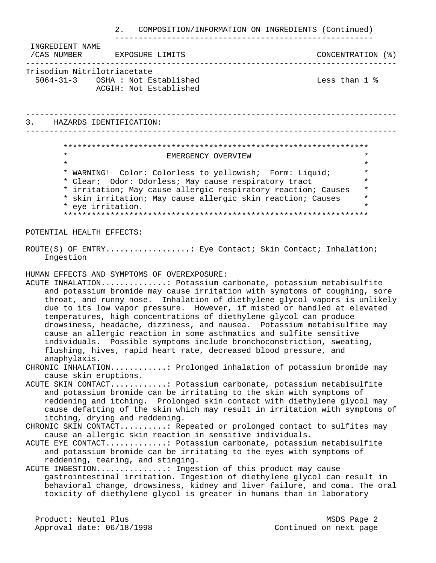2. COMPOSITION/INFORMATION ON INGREDIENTS (Continued) ------------------------------------------------------- INGREDIENT NAME /CAS NUMBER EXPOSURE LIMITS CONCENTRATION (%) ------------------------------------------------------------------------------- Trisodium Nitrilotriacetate 5064-31-3 OSHA : Not Established Less than 1 % ACGIH: Not Established ------------------------------------------------------------------------------- 3. HAZARDS IDENTIFICATION: ------------------------------------------------------------------------------- \*\*\*\*\*\*\*\*\*\*\*\*\*\*\*\*\*\*\*\*\*\*\*\*\*\*\*\*\*\*\*\*\*\*\*\*\*\*\*\*\*\*\*\*\*\*\*\*\*\*\*\*\*\*\*\*\*\*\*\*\*\*\*\*\* EMERGENCY OVERVIEW  $\star$  \* \* WARNING! Color: Colorless to yellowish; Form: Liquid; \* \* Clear; Odor: Odorless; May cause respiratory tract \* \* irritation; May cause allergic respiratory reaction; Causes \* \* skin irritation; May cause allergic skin reaction; Causes \* \* eye irritation. \* \*\*\*\*\*\*\*\*\*\*\*\*\*\*\*\*\*\*\*\*\*\*\*\*\*\*\*\*\*\*\*\*\*\*\*\*\*\*\*\*\*\*\*\*\*\*\*\*\*\*\*\*\*\*\*\*\*\*\*\*\*\*\*\*\* POTENTIAL HEALTH EFFECTS: ROUTE(S) OF ENTRY.................... Eye Contact; Skin Contact; Inhalation; Ingestion HUMAN EFFECTS AND SYMPTOMS OF OVEREXPOSURE: ACUTE INHALATION..............: Potassium carbonate, potassium metabisulfite and potassium bromide may cause irritation with symptoms of coughing, sore throat, and runny nose. Inhalation of diethylene glycol vapors is unlikely due to its low vapor pressure. However, if misted or handled at elevated temperatures, high concentrations of diethylene glycol can produce drowsiness, headache, dizziness, and nausea. Potassium metabisulfite may cause an allergic reaction in some asthmatics and sulfite sensitive individuals. Possible symptoms include bronchoconstriction, sweating, flushing, hives, rapid heart rate, decreased blood pressure, and anaphylaxis. CHRONIC INHALATION............: Prolonged inhalation of potassium bromide may cause skin eruptions. ACUTE SKIN CONTACT............: Potassium carbonate, potassium metabisulfite and potassium bromide can be irritating to the skin with symptoms of reddening and itching. Prolonged skin contact with diethylene glycol may cause defatting of the skin which may result in irritation with symptoms of itching, drying and reddening. CHRONIC SKIN CONTACT..........: Repeated or prolonged contact to sulfites may cause an allergic skin reaction in sensitive individuals. ACUTE EYE CONTACT.............: Potassium carbonate, potassium metabisulfite and potassium bromide can be irritating to the eyes with symptoms of reddening, tearing, and stinging. ACUTE INGESTION...............: Ingestion of this product may cause gastrointestinal irritation. Ingestion of diethylene glycol can result in behavioral change, drowsiness, kidney and liver failure, and coma. The oral toxicity of diethylene glycol is greater in humans than in laboratory Product: Neutol Plus MSDS Page 2

Approval date:  $06/18/1998$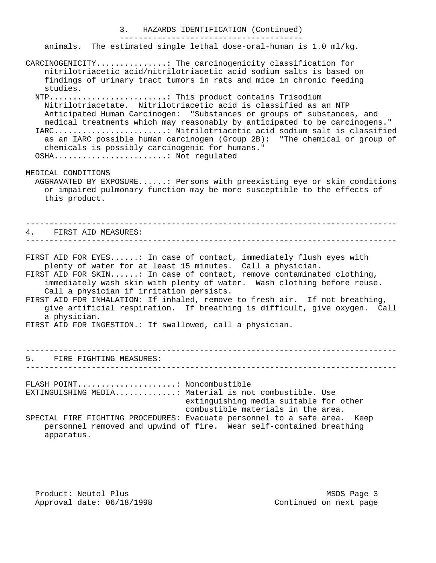3. HAZARDS IDENTIFICATION (Continued) ---------------------------------------

animals. The estimated single lethal dose-oral-human is 1.0 ml/kg.

CARCINOGENICITY...............: The carcinogenicity classification for nitrilotriacetic acid/nitrilotriacetic acid sodium salts is based on findings of urinary tract tumors in rats and mice in chronic feeding studies. NTP.........................: This product contains Trisodium Nitrilotriacetate. Nitrilotriacetic acid is classified as an NTP Anticipated Human Carcinogen: "Substances or groups of substances, and medical treatments which may reasonably by anticipated to be carcinogens." IARC........................: Nitrilotriacetic acid sodium salt is classified as an IARC possible human carcinogen (Group 2B): "The chemical or group of chemicals is possibly carcinogenic for humans." OSHA........................: Not regulated MEDICAL CONDITIONS AGGRAVATED BY EXPOSURE......: Persons with preexisting eye or skin conditions or impaired pulmonary function may be more susceptible to the effects of this product. ------------------------------------------------------------------------------- 4. FIRST AID MEASURES: ------------------------------------------------------------------------------- FIRST AID FOR EYES......: In case of contact, immediately flush eyes with plenty of water for at least 15 minutes. Call a physician. FIRST AID FOR SKIN......: In case of contact, remove contaminated clothing, immediately wash skin with plenty of water. Wash clothing before reuse. Call a physician if irritation persists. FIRST AID FOR INHALATION: If inhaled, remove to fresh air. If not breathing, give artificial respiration. If breathing is difficult, give oxygen. Call a physician. FIRST AID FOR INGESTION.: If swallowed, call a physician. ------------------------------------------------------------------------------- 5. FIRE FIGHTING MEASURES: ------------------------------------------------------------------------------- FLASH POINT.....................: Noncombustible EXTINGUISHING MEDIA.............: Material is not combustible. Use extinguishing media suitable for other combustible materials in the area. SPECIAL FIRE FIGHTING PROCEDURES: Evacuate personnel to a safe area. Keep personnel removed and upwind of fire. Wear self-contained breathing apparatus.

Product: Neutol Plus and the matrix of the MSDS Page 3 Approval date:  $06/18/1998$  Continued on next page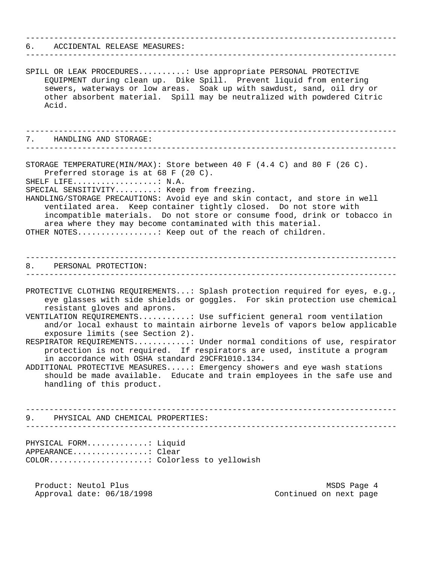| 6. ACCIDENTAL RELEASE MEASURES:                                                                                                                                                                                                                                                                                                                                                                                                                                                                                                                                                                                                                                                                                                                                               |
|-------------------------------------------------------------------------------------------------------------------------------------------------------------------------------------------------------------------------------------------------------------------------------------------------------------------------------------------------------------------------------------------------------------------------------------------------------------------------------------------------------------------------------------------------------------------------------------------------------------------------------------------------------------------------------------------------------------------------------------------------------------------------------|
| SPILL OR LEAK PROCEDURES: Use appropriate PERSONAL PROTECTIVE<br>EQUIPMENT during clean up. Dike Spill. Prevent liquid from entering<br>sewers, waterways or low areas. Soak up with sawdust, sand, oil dry or<br>other absorbent material. Spill may be neutralized with powdered Citric<br>Acid.                                                                                                                                                                                                                                                                                                                                                                                                                                                                            |
| 7. HANDLING AND STORAGE:                                                                                                                                                                                                                                                                                                                                                                                                                                                                                                                                                                                                                                                                                                                                                      |
| STORAGE TEMPERATURE(MIN/MAX): Store between 40 F $(4.4 C)$ and 80 F $(26 C)$ .<br>Preferred storage is at 68 F (20 C).<br>SHELF LIFE: N.A.<br>SPECIAL SENSITIVITY: Keep from freezing.<br>HANDLING/STORAGE PRECAUTIONS: Avoid eye and skin contact, and store in well<br>ventilated area. Keep container tightly closed. Do not store with<br>incompatible materials. Do not store or consume food, drink or tobacco in<br>area where they may become contaminated with this material.<br>OTHER NOTES: Keep out of the reach of children.                                                                                                                                                                                                                                     |
| 8. PERSONAL PROTECTION:<br>----------------------------                                                                                                                                                                                                                                                                                                                                                                                                                                                                                                                                                                                                                                                                                                                       |
| PROTECTIVE CLOTHING REQUIREMENTS: Splash protection required for eyes, e.g.,<br>eye glasses with side shields or goggles. For skin protection use chemical<br>resistant gloves and aprons.<br>VENTILATION REQUIREMENTS: Use sufficient general room ventilation<br>and/or local exhaust to maintain airborne levels of vapors below applicable<br>exposure limits (see Section 2).<br>RESPIRATOR REQUIREMENTS: Under normal conditions of use, respirator<br>protection is not required. If respirators are used, institute a program<br>in accordance with OSHA standard 29CFR1010.134.<br>ADDITIONAL PROTECTIVE MEASURES: Emergency showers and eye wash stations<br>should be made available. Educate and train employees in the safe use and<br>handling of this product. |
| 9. PHYSICAL AND CHEMICAL PROPERTIES:                                                                                                                                                                                                                                                                                                                                                                                                                                                                                                                                                                                                                                                                                                                                          |
| PHYSICAL FORM: Liquid<br>APPEARANCE: Clear<br>COLOR: Colorless to yellowish                                                                                                                                                                                                                                                                                                                                                                                                                                                                                                                                                                                                                                                                                                   |
| Product: Neutol Plus<br>MSDS Page 4<br>Approval date: 06/18/1998<br>Continued on next page                                                                                                                                                                                                                                                                                                                                                                                                                                                                                                                                                                                                                                                                                    |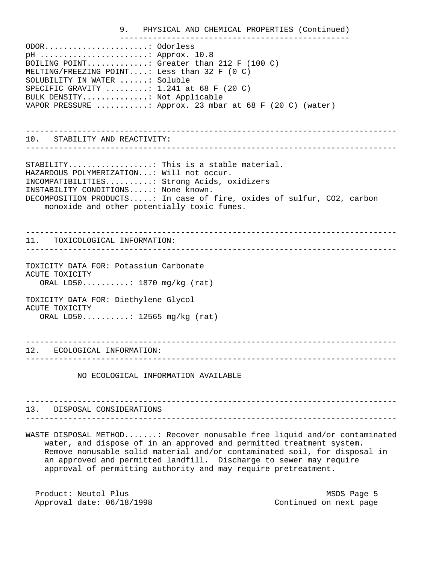9. PHYSICAL AND CHEMICAL PROPERTIES (Continued) ------------------------------------------------- ODOR......................: Odorless pH .......................: Approx. 10.8 BOILING POINT.............: Greater than 212 F (100 C) MELTING/FREEZING POINT....: Less than 32 F (0 C) SOLUBILITY IN WATER ......: Soluble SPECIFIC GRAVITY .........: 1.241 at 68 F (20 C) BULK DENSITY..............: Not Applicable VAPOR PRESSURE ...........: Approx. 23 mbar at 68 F (20 C) (water) ------------------------------------------------------------------------------- 10. STABILITY AND REACTIVITY: ------------------------------------------------------------------------------- STABILITY...................: This is a stable material. HAZARDOUS POLYMERIZATION...: Will not occur. INCOMPATIBILITIES..........: Strong Acids, oxidizers INSTABILITY CONDITIONS.....: None known. DECOMPOSITION PRODUCTS.....: In case of fire, oxides of sulfur, CO2, carbon monoxide and other potentially toxic fumes. ------------------------------------------------------------------------------- 11. TOXICOLOGICAL INFORMATION: ------------------------------------------------------------------------------- TOXICITY DATA FOR: Potassium Carbonate ACUTE TOXICITY ORAL LD50..........: 1870 mg/kg (rat) TOXICITY DATA FOR: Diethylene Glycol ACUTE TOXICITY ORAL LD50..........: 12565 mg/kg (rat) ------------------------------------------------------------------------------- 12. ECOLOGICAL INFORMATION:

-------------------------------------------------------------------------------

NO ECOLOGICAL INFORMATION AVAILABLE

------------------------------------------------------------------------------- 13. DISPOSAL CONSIDERATIONS -------------------------------------------------------------------------------

WASTE DISPOSAL METHOD.......: Recover nonusable free liquid and/or contaminated water, and dispose of in an approved and permitted treatment system. Remove nonusable solid material and/or contaminated soil, for disposal in an approved and permitted landfill. Discharge to sewer may require approval of permitting authority and may require pretreatment.

Product: Neutol Plus and the matrix of the MSDS Page 5 Approval date:  $06/18/1998$  Continued on next page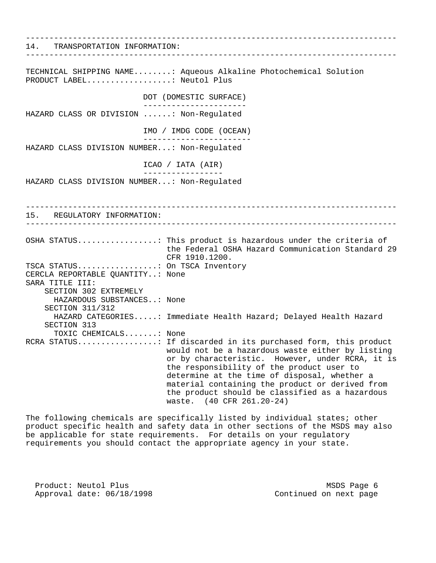------------------------------------------------------------------------------- 14. TRANSPORTATION INFORMATION: ------------------------------------------------------------------------------- TECHNICAL SHIPPING NAME........: Aqueous Alkaline Photochemical Solution PRODUCT LABEL...................: Neutol Plus DOT (DOMESTIC SURFACE) ---------------------- HAZARD CLASS OR DIVISION ......: Non-Regulated IMO / IMDG CODE (OCEAN) ----------------------- HAZARD CLASS DIVISION NUMBER...: Non-Regulated ICAO / IATA (AIR) ----------------- HAZARD CLASS DIVISION NUMBER...: Non-Regulated ------------------------------------------------------------------------------- 15. REGULATORY INFORMATION: ------------------------------------------------------------------------------- OSHA STATUS.................: This product is hazardous under the criteria of the Federal OSHA Hazard Communication Standard 29 CFR 1910.1200. TSCA STATUS.................: On TSCA Inventory CERCLA REPORTABLE QUANTITY..: None SARA TITLE III: SECTION 302 EXTREMELY HAZARDOUS SUBSTANCES..: None SECTION 311/312 HAZARD CATEGORIES.....: Immediate Health Hazard; Delayed Health Hazard SECTION 313 TOXIC CHEMICALS.......: None RCRA STATUS.................: If discarded in its purchased form, this product would not be a hazardous waste either by listing or by characteristic. However, under RCRA, it is the responsibility of the product user to determine at the time of disposal, whether a material containing the product or derived from the product should be classified as a hazardous waste. (40 CFR 261.20-24)

The following chemicals are specifically listed by individual states; other product specific health and safety data in other sections of the MSDS may also be applicable for state requirements. For details on your regulatory requirements you should contact the appropriate agency in your state.

Product: Neutol Plus and the matrix of the MSDS Page 6 Approval date:  $06/18/1998$  Continued on next page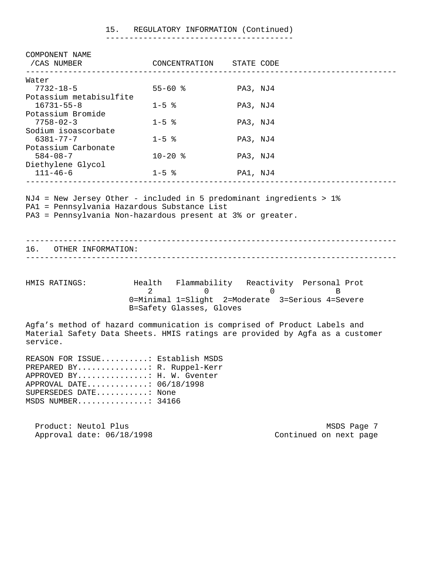| 15. |  | REGULATORY INFORMATION (Continued) |  |
|-----|--|------------------------------------|--|
|-----|--|------------------------------------|--|

----------------------------------------

| COMPONENT NAME<br>/CAS NUMBER<br>_____________                                                                                                                           | CONCENTRATION                              | STATE CODE                                                                                                                     |             |  |  |
|--------------------------------------------------------------------------------------------------------------------------------------------------------------------------|--------------------------------------------|--------------------------------------------------------------------------------------------------------------------------------|-------------|--|--|
| Water                                                                                                                                                                    |                                            |                                                                                                                                |             |  |  |
| $7732 - 18 - 5$                                                                                                                                                          | $55 - 60$ %                                | PA3, NJ4                                                                                                                       |             |  |  |
| Potassium metabisulfite<br>$16731 - 55 - 8$                                                                                                                              | $1 - 5$ $\approx$                          | PA3, NJ4                                                                                                                       |             |  |  |
| Potassium Bromide                                                                                                                                                        |                                            |                                                                                                                                |             |  |  |
| $7758 - 02 - 3$                                                                                                                                                          | $1 - 5$ $\approx$                          | PA3, NJ4                                                                                                                       |             |  |  |
| Sodium isoascorbate<br>$6381 - 77 - 7$                                                                                                                                   | $1 - 5$ $\approx$                          | PA3, NJ4                                                                                                                       |             |  |  |
| Potassium Carbonate                                                                                                                                                      |                                            |                                                                                                                                |             |  |  |
| $584 - 08 - 7$                                                                                                                                                           | $10 - 20$ %                                | PA3, NJ4                                                                                                                       |             |  |  |
| Diethylene Glycol                                                                                                                                                        |                                            |                                                                                                                                |             |  |  |
| $111 - 46 - 6$                                                                                                                                                           | $1 - 5$ %                                  | PA1, NJ4                                                                                                                       |             |  |  |
| PA3 = Pennsylvania Non-hazardous present at 3% or greater.<br>16. OTHER INFORMATION:                                                                                     |                                            |                                                                                                                                |             |  |  |
|                                                                                                                                                                          |                                            |                                                                                                                                |             |  |  |
| HMIS RATINGS:                                                                                                                                                            | $\mathfrak{D}$<br>B=Safety Glasses, Gloves | Health Flammability Reactivity Personal Prot<br>$\overline{0}$<br>$\Omega$<br>0=Minimal 1=Slight 2=Moderate 3=Serious 4=Severe | B           |  |  |
| Agfa's method of hazard communication is comprised of Product Labels and<br>Material Safety Data Sheets. HMIS ratings are provided by Agfa as a customer<br>service.     |                                            |                                                                                                                                |             |  |  |
| REASON FOR ISSUE: Establish MSDS<br>PREPARED BY R. Ruppel-Kerr<br>APPROVED BY: H. W. Gventer<br>APPROVAL DATE: 06/18/1998<br>SUPERSEDES DATE: None<br>MSDS NUMBER: 34166 |                                            |                                                                                                                                |             |  |  |
| Product: Neutol Plus                                                                                                                                                     |                                            |                                                                                                                                | MSDS Page 7 |  |  |

Approval date:  $06/18/1998$  Continued on next page